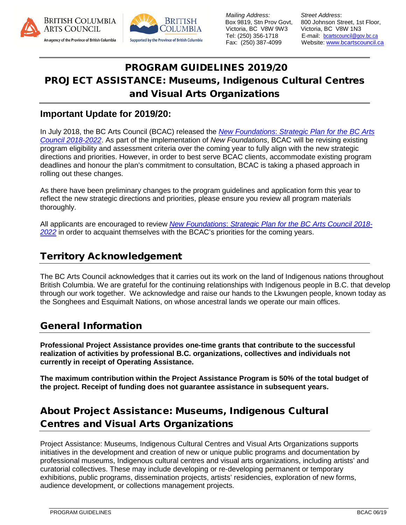



 *Mailing Address: Street Address*: Victoria, BC V8W 9W3<br>Tel: (250) 356-1718

Box 9819, Stn Prov Govt, 800 Johnson Street, 1st Floor, Victoria, BC V8W 9W3 Victoria, BC V8W 1N3 Tel: (250) 356-1718 E-mail: [bcartscouncil@gov.bc.ca](mailto:bcartscouncil@gov.bc.ca) Website: [www.bcartscouncil.ca](http://www.bcartscouncil.ca/)

# PROGRAM GUIDELINES 2019/20 PROJECT ASSISTANCE: Museums, Indigenous Cultural Centres and Visual Arts Organizations

### **Important Update for 2019/20:**

In July 2018, the BC Arts Council (BCAC) released the *New Foundations*: *[Strategic Plan for the BC Arts](http://www.bcartscouncil.ca/documents/publicationforms/pdfs/2018_22_StratPlan.pdf) [Council 2018-2022](http://www.bcartscouncil.ca/documents/publicationforms/pdfs/2018_22_StratPlan.pdf)*. As part of the implementation of *New Foundations*, BCAC will be revising existing program eligibility and assessment criteria over the coming year to fully align with the new strategic directions and priorities. However, in order to best serve BCAC clients, accommodate existing program deadlines and honour the plan's commitment to consultation, BCAC is taking a phased approach in rolling out these changes.

As there have been preliminary changes to the program guidelines and application form this year to reflect the new strategic directions and priorities, please ensure you review all program materials thoroughly.

All applicants are encouraged to review *New Foundations*: *[Strategic Plan for the BC Arts](http://www.bcartscouncil.ca/documents/publicationforms/pdfs/2018_22_StratPlan.pdf) Council 2018- [2022](http://www.bcartscouncil.ca/documents/publicationforms/pdfs/2018_22_StratPlan.pdf)* in order to acquaint themselves with the BCAC's priorities for the coming years.

### <span id="page-0-0"></span>Territory Acknowledgement

The BC Arts Council acknowledges that it carries out its work on the land of Indigenous nations throughout British Columbia. We are grateful for the continuing relationships with Indigenous people in B.C. that develop through our work together. We acknowledge and raise our hands to the Lkwungen people, known today as the Songhees and Esquimalt Nations, on whose ancestral lands we operate our main offices.

## <span id="page-0-1"></span>General Information

**Professional Project Assistance provides one-time grants that contribute to the successful realization of activities by professional B.C. organizations, collectives and individuals not currently in receipt of Operating Assistance.** 

**The maximum contribution within the Project Assistance Program is 50% of the total budget of the project. Receipt of funding does not guarantee assistance in subsequent years.**

# <span id="page-0-2"></span>About Project Assistance: Museums, Indigenous Cultural Centres and Visual Arts Organizations

Project Assistance: Museums, Indigenous Cultural Centres and Visual Arts Organizations supports initiatives in the development and creation of new or unique public programs and documentation by professional museums, Indigenous cultural centres and visual arts organizations, including artists' and curatorial collectives. These may include developing or re-developing permanent or temporary exhibitions, public programs, dissemination projects, artists' residencies, exploration of new forms, audience development, or collections management projects.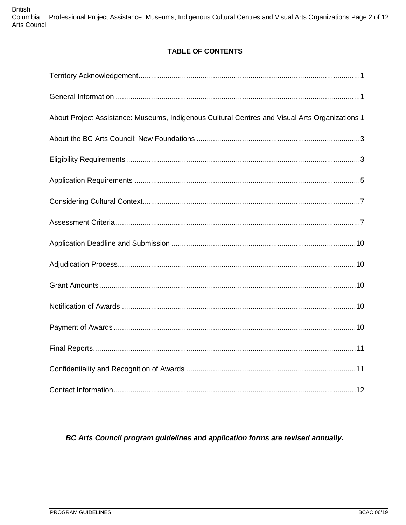### **TABLE OF CONTENTS**

| About Project Assistance: Museums, Indigenous Cultural Centres and Visual Arts Organizations 1 |
|------------------------------------------------------------------------------------------------|
|                                                                                                |
|                                                                                                |
|                                                                                                |
|                                                                                                |
|                                                                                                |
|                                                                                                |
|                                                                                                |
|                                                                                                |
|                                                                                                |
|                                                                                                |
|                                                                                                |
|                                                                                                |
|                                                                                                |

### BC Arts Council program guidelines and application forms are revised annually.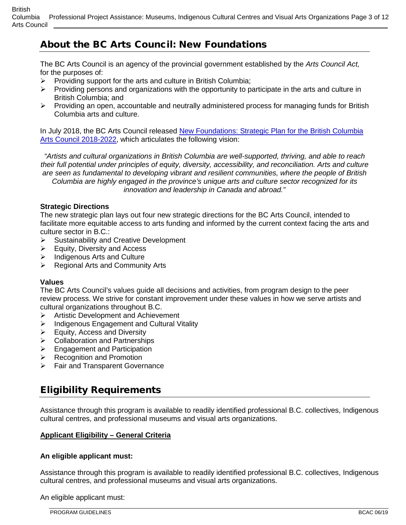## <span id="page-2-0"></span>About the BC Arts Council: New Foundations

The BC Arts Council is an agency of the provincial government established by the *Arts Council Act,* for the purposes of:

- $\triangleright$  Providing support for the arts and culture in British Columbia;
- $\triangleright$  Providing persons and organizations with the opportunity to participate in the arts and culture in British Columbia; and
- $\triangleright$  Providing an open, accountable and neutrally administered process for managing funds for British Columbia arts and culture.

In July 2018, the BC Arts Council released [New Foundations: Strategic Plan for the British Columbia](http://www.bcartscouncil.ca/documents/publicationforms/pdfs/2018_22_StratPlan.pdf)  [Arts Council 2018-2022,](http://www.bcartscouncil.ca/documents/publicationforms/pdfs/2018_22_StratPlan.pdf) which articulates the following vision:

*"Artists and cultural organizations in British Columbia are well-supported, thriving, and able to reach their full potential under principles of equity, diversity, accessibility, and reconciliation. Arts and culture are seen as fundamental to developing vibrant and resilient communities, where the people of British Columbia are highly engaged in the province's unique arts and culture sector recognized for its innovation and leadership in Canada and abroad."*

#### **Strategic Directions**

The new strategic plan lays out four new strategic directions for the BC Arts Council, intended to facilitate more equitable access to arts funding and informed by the current context facing the arts and culture sector in B.C.:

- $\triangleright$  Sustainability and Creative Development
- $\triangleright$  Equity, Diversity and Access
- $\triangleright$  Indigenous Arts and Culture
- $\triangleright$  Regional Arts and Community Arts

#### **Values**

The BC Arts Council's values guide all decisions and activities, from program design to the peer review process. We strive for constant improvement under these values in how we serve artists and cultural organizations throughout B.C.

- $\triangleright$  Artistic Development and Achievement
- $\triangleright$  Indigenous Engagement and Cultural Vitality
- $\triangleright$  Equity, Access and Diversity
- $\triangleright$  Collaboration and Partnerships
- $\triangleright$  Engagement and Participation
- $\triangleright$  Recognition and Promotion
- **Fair and Transparent Governance**

## <span id="page-2-1"></span>Eligibility Requirements

Assistance through this program is available to readily identified professional B.C. collectives, Indigenous cultural centres, and professional museums and visual arts organizations.

#### **Applicant Eligibility – General Criteria**

#### **An eligible applicant must:**

Assistance through this program is available to readily identified professional B.C. collectives, Indigenous cultural centres, and professional museums and visual arts organizations.

An eligible applicant must: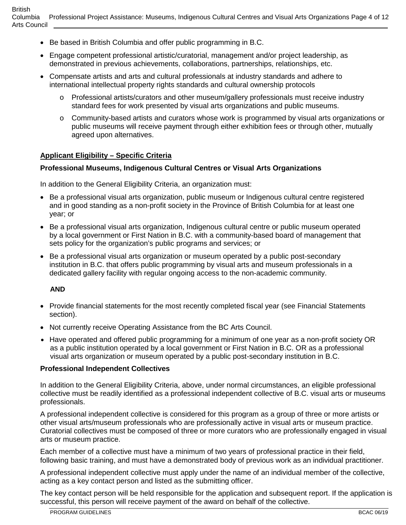- Be based in British Columbia and offer public programming in B.C.
- Engage competent professional artistic/curatorial, management and/or project leadership, as demonstrated in previous achievements, collaborations, partnerships, relationships, etc.
- Compensate artists and arts and cultural professionals at industry standards and adhere to international intellectual property rights standards and cultural ownership protocols
	- o Professional artists/curators and other museum/gallery professionals must receive industry standard fees for work presented by visual arts organizations and public museums.
	- o Community-based artists and curators whose work is programmed by visual arts organizations or public museums will receive payment through either exhibition fees or through other, mutually agreed upon alternatives.

#### **Applicant Eligibility – Specific Criteria**

#### **Professional Museums, Indigenous Cultural Centres or Visual Arts Organizations**

In addition to the General Eligibility Criteria, an organization must:

- Be a professional visual arts organization, public museum or Indigenous cultural centre registered and in good standing as a non-profit society in the Province of British Columbia for at least one year; or
- Be a professional visual arts organization, Indigenous cultural centre or public museum operated by a local government or First Nation in B.C. with a community-based board of management that sets policy for the organization's public programs and services; or
- Be a professional visual arts organization or museum operated by a public post-secondary institution in B.C. that offers public programming by visual arts and museum professionals in a dedicated gallery facility with regular ongoing access to the non-academic community.

#### **AND**

- Provide financial statements for the most recently completed fiscal year (see Financial Statements section).
- Not currently receive Operating Assistance from the BC Arts Council.
- Have operated and offered public programming for a minimum of one year as a non-profit society OR as a public institution operated by a local government or First Nation in B.C. OR as a professional visual arts organization or museum operated by a public post-secondary institution in B.C.

#### **Professional Independent Collectives**

In addition to the General Eligibility Criteria, above, under normal circumstances, an eligible professional collective must be readily identified as a professional independent collective of B.C. visual arts or museums professionals.

A professional independent collective is considered for this program as a group of three or more artists or other visual arts/museum professionals who are professionally active in visual arts or museum practice. Curatorial collectives must be composed of three or more curators who are professionally engaged in visual arts or museum practice.

Each member of a collective must have a minimum of two years of professional practice in their field, following basic training, and must have a demonstrated body of previous work as an individual practitioner.

A professional independent collective must apply under the name of an individual member of the collective, acting as a key contact person and listed as the submitting officer.

The key contact person will be held responsible for the application and subsequent report. If the application is successful, this person will receive payment of the award on behalf of the collective.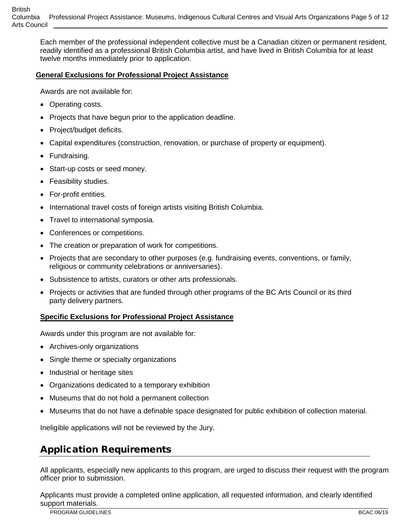Each member of the professional independent collective must be a Canadian citizen or permanent resident, readily identified as a professional British Columbia artist, and have lived in British Columbia for at least twelve months immediately prior to application.

#### **General Exclusions for Professional Project Assistance**

Awards are not available for:

- Operating costs.
- Projects that have begun prior to the application deadline.
- Project/budget deficits.
- Capital expenditures (construction, renovation, or purchase of property or equipment).
- Fundraising.
- Start-up costs or seed money.
- Feasibility studies.
- For-profit entities.
- International travel costs of foreign artists visiting British Columbia.
- Travel to international symposia.
- Conferences or competitions.
- The creation or preparation of work for competitions.
- Projects that are secondary to other purposes (e.g. fundraising events, conventions, or family, religious or community celebrations or anniversaries).
- Subsistence to artists, curators or other arts professionals.
- Projects or activities that are funded through other programs of the BC Arts Council or its third party delivery partners.

#### **Specific Exclusions for Professional Project Assistance**

Awards under this program are not available for:

- Archives-only organizations
- Single theme or specialty organizations
- Industrial or heritage sites
- Organizations dedicated to a temporary exhibition
- Museums that do not hold a permanent collection
- Museums that do not have a definable space designated for public exhibition of collection material.

Ineligible applications will not be reviewed by the Jury.

## <span id="page-4-0"></span>Application Requirements

All applicants, especially new applicants to this program, are urged to discuss their request with the program officer prior to submission.

Applicants must provide a completed online application, all requested information, and clearly identified support materials.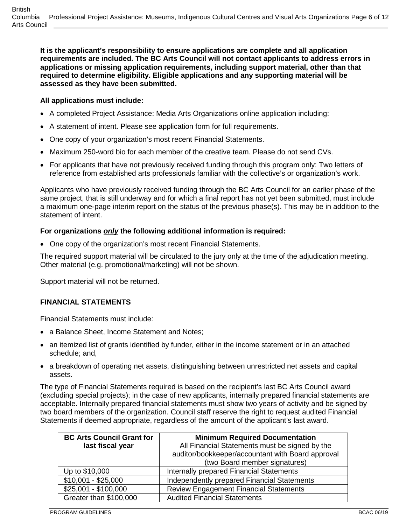**It is the applicant's responsibility to ensure applications are complete and all application requirements are included. The BC Arts Council will not contact applicants to address errors in applications or missing application requirements, including support material, other than that required to determine eligibility. Eligible applications and any supporting material will be assessed as they have been submitted.**

### **All applications must include:**

- A completed Project Assistance: Media Arts Organizations online application including:
- A statement of intent. Please see application form for full requirements.
- One copy of your organization's most recent Financial Statements.
- Maximum 250-word bio for each member of the creative team. Please do not send CVs.
- For applicants that have not previously received funding through this program only: Two letters of reference from established arts professionals familiar with the collective's or organization's work.

Applicants who have previously received funding through the BC Arts Council for an earlier phase of the same project, that is still underway and for which a final report has not yet been submitted, must include a maximum one-page interim report on the status of the previous phase(s). This may be in addition to the statement of intent.

### **For organizations** *only* **the following additional information is required:**

• One copy of the organization's most recent Financial Statements.

The required support material will be circulated to the jury only at the time of the adjudication meeting. Other material (e.g. promotional/marketing) will not be shown.

Support material will not be returned.

### **FINANCIAL STATEMENTS**

Financial Statements must include:

- a Balance Sheet, Income Statement and Notes;
- an itemized list of grants identified by funder, either in the income statement or in an attached schedule; and,
- a breakdown of operating net assets, distinguishing between unrestricted net assets and capital assets.

The type of Financial Statements required is based on the recipient's last BC Arts Council award (excluding special projects); in the case of new applicants, internally prepared financial statements are acceptable. Internally prepared financial statements must show two years of activity and be signed by two board members of the organization. Council staff reserve the right to request audited Financial Statements if deemed appropriate, regardless of the amount of the applicant's last award.

| <b>BC Arts Council Grant for</b> | <b>Minimum Required Documentation</b>             |
|----------------------------------|---------------------------------------------------|
| last fiscal year                 | All Financial Statements must be signed by the    |
|                                  | auditor/bookkeeper/accountant with Board approval |
|                                  | (two Board member signatures)                     |
| Up to \$10,000                   | Internally prepared Financial Statements          |
| $$10,001 - $25,000$              | Independently prepared Financial Statements       |
| $$25,001 - $100,000$             | <b>Review Engagement Financial Statements</b>     |
| Greater than \$100,000           | <b>Audited Financial Statements</b>               |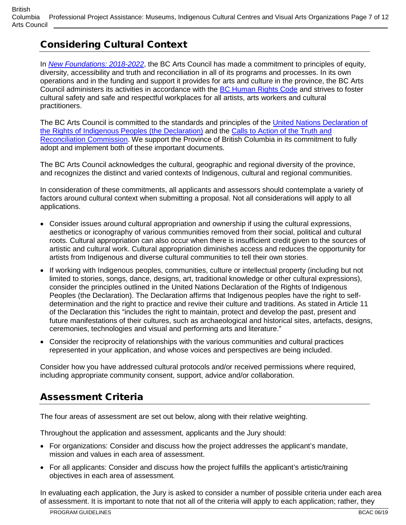**British** Columbia Professional Project Assistance: Museums, Indigenous Cultural Centres and Visual Arts Organizations Page 7 of 12 Arts Council

## <span id="page-6-0"></span>Considering Cultural Context

In *[New Foundations: 2018-2022](http://www.bcartscouncil.ca/documents/publicationforms/pdfs/2018_22_StratPlan.pdf5)*, the BC Arts Council has made a commitment to principles of equity, diversity, accessibility and truth and reconciliation in all of its programs and processes. In its own operations and in the funding and support it provides for arts and culture in the province, the BC Arts Council administers its activities in accordance with the [BC Human Rights Code](https://www2.gov.bc.ca/assets/gov/law-crime-and-justice/human-rights/human-rights-protection/what-you-need-to-know.pdf) and strives to foster cultural safety and safe and respectful workplaces for all artists, arts workers and cultural practitioners.

The BC Arts Council is committed to the standards and principles of the [United Nations Declaration of](http://www.un.org/esa/socdev/unpfii/documents/DRIPS_en.pdf)  [the Rights of Indigenous Peoples \(the Declaration\)](http://www.un.org/esa/socdev/unpfii/documents/DRIPS_en.pdf) and the [Calls to Action of the Truth](https://nctr.ca/assets/reports/Calls_to_Action_English2.pdf) and [Reconciliation Commission.](https://nctr.ca/assets/reports/Calls_to_Action_English2.pdf) We support the Province of British Columbia in its commitment to fully adopt and implement both of these important documents.

The BC Arts Council acknowledges the cultural, geographic and regional diversity of the province, and recognizes the distinct and varied contexts of Indigenous, cultural and regional communities.

In consideration of these commitments, all applicants and assessors should contemplate a variety of factors around cultural context when submitting a proposal. Not all considerations will apply to all applications.

- Consider issues around cultural appropriation and ownership if using the cultural expressions, aesthetics or iconography of various communities removed from their social, political and cultural roots. Cultural appropriation can also occur when there is insufficient credit given to the sources of artistic and cultural work. Cultural appropriation diminishes access and reduces the opportunity for artists from Indigenous and diverse cultural communities to tell their own stories.
- If working with Indigenous peoples, communities, culture or intellectual property (including but not limited to stories, songs, dance, designs, art, traditional knowledge or other cultural expressions), consider the principles outlined in the [United Nations Declaration of the Rights of Indigenous](http://www.un.org/esa/socdev/unpfii/documents/DRIPS_en.pdf)  [Peoples](http://www.un.org/esa/socdev/unpfii/documents/DRIPS_en.pdf) (the Declaration). The Declaration affirms that Indigenous peoples have the right to selfdetermination and the right to practice and revive their culture and traditions. As stated in Article 11 of the Declaration this "includes the right to maintain, protect and develop the past, present and future manifestations of their cultures, such as archaeological and historical sites, artefacts, designs, ceremonies, technologies and visual and performing arts and literature."
- Consider the reciprocity of relationships with the various communities and cultural practices represented in your application, and whose voices and perspectives are being included.

Consider how you have addressed cultural protocols and/or received permissions where required, including appropriate community consent, support, advice and/or collaboration.

## <span id="page-6-1"></span>Assessment Criteria

The four areas of assessment are set out below, along with their relative weighting.

Throughout the application and assessment, applicants and the Jury should:

- For organizations: Consider and discuss how the project addresses the applicant's mandate, mission and values in each area of assessment.
- For all applicants: Consider and discuss how the project fulfills the applicant's artistic/training objectives in each area of assessment.

In evaluating each application, the Jury is asked to consider a number of possible criteria under each area of assessment. It is important to note that not all of the criteria will apply to each application; rather, they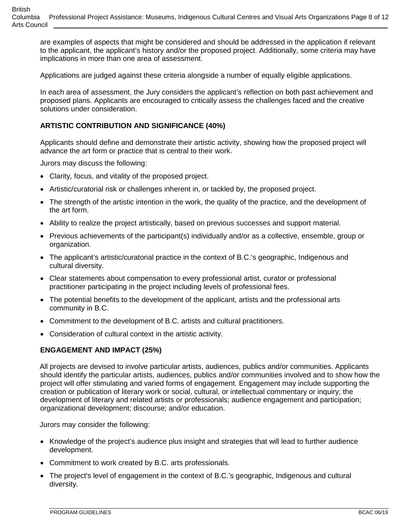are examples of aspects that might be considered and should be addressed in the application if relevant to the applicant, the applicant's history and/or the proposed project. Additionally, some criteria may have implications in more than one area of assessment.

Applications are judged against these criteria alongside a number of equally eligible applications.

In each area of assessment, the Jury considers the applicant's reflection on both past achievement and proposed plans. Applicants are encouraged to critically assess the challenges faced and the creative solutions under consideration.

### **ARTISTIC CONTRIBUTION AND SIGNIFICANCE (40%)**

Applicants should define and demonstrate their artistic activity, showing how the proposed project will advance the art form or practice that is central to their work.

Jurors may discuss the following:

- Clarity, focus, and vitality of the proposed project.
- Artistic/curatorial risk or challenges inherent in, or tackled by, the proposed project.
- The strength of the artistic intention in the work, the quality of the practice, and the development of the art form.
- Ability to realize the project artistically, based on previous successes and support material.
- Previous achievements of the participant(s) individually and/or as a collective, ensemble, group or organization.
- The applicant's artistic/curatorial practice in the context of B.C.'s geographic, Indigenous and cultural diversity.
- Clear statements about compensation to every professional artist, curator or professional practitioner participating in the project including levels of professional fees.
- The potential benefits to the development of the applicant, artists and the professional arts community in B.C.
- Commitment to the development of B.C. artists and cultural practitioners.
- Consideration of cultural context in the artistic activity.

#### **ENGAGEMENT AND IMPACT (25%)**

All projects are devised to involve particular artists, audiences, publics and/or communities. Applicants should identify the particular artists, audiences, publics and/or communities involved and to show how the project will offer stimulating and varied forms of engagement. Engagement may include supporting the creation or publication of literary work or social, cultural, or intellectual commentary or inquiry; the development of literary and related artists or professionals; audience engagement and participation; organizational development; discourse; and/or education.

Jurors may consider the following:

- Knowledge of the project's audience plus insight and strategies that will lead to further audience development.
- Commitment to work created by B.C. arts professionals.
- The project's level of engagement in the context of B.C.'s geographic, Indigenous and cultural diversity.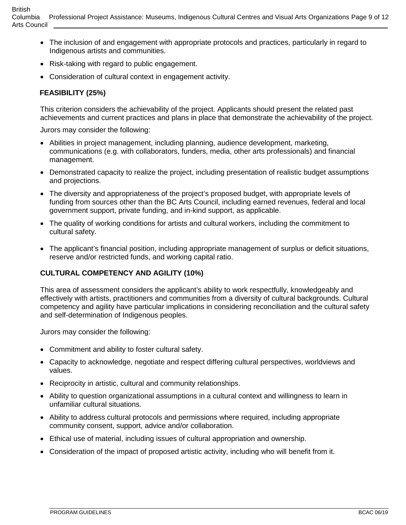- The inclusion of and engagement with appropriate protocols and practices, particularly in regard to Indigenous artists and communities.
- Risk-taking with regard to public engagement.
- Consideration of cultural context in engagement activity.

### **FEASIBILITY (25%)**

This criterion considers the achievability of the project. Applicants should present the related past achievements and current practices and plans in place that demonstrate the achievability of the project.

Jurors may consider the following:

- Abilities in project management, including planning, audience development, marketing, communications (e.g. with collaborators, funders, media, other arts professionals) and financial management.
- Demonstrated capacity to realize the project, including presentation of realistic budget assumptions and projections.
- The diversity and appropriateness of the project's proposed budget, with appropriate levels of funding from sources other than the BC Arts Council, including earned revenues, federal and local government support, private funding, and in-kind support, as applicable.
- The quality of working conditions for artists and cultural workers, including the commitment to cultural safety.
- The applicant's financial position, including appropriate management of surplus or deficit situations, reserve and/or restricted funds, and working capital ratio.

#### **CULTURAL COMPETENCY AND AGILITY (10%)**

This area of assessment considers the applicant's ability to work respectfully, knowledgeably and effectively with artists, practitioners and communities from a diversity of cultural backgrounds. Cultural competency and agility have particular implications in considering reconciliation and the cultural safety and self-determination of Indigenous peoples.

Jurors may consider the following:

- Commitment and ability to foster cultural safety.
- Capacity to acknowledge, negotiate and respect differing cultural perspectives, worldviews and values.
- Reciprocity in artistic, cultural and community relationships.
- Ability to question organizational assumptions in a cultural context and willingness to learn in unfamiliar cultural situations.
- Ability to address cultural protocols and permissions where required, including appropriate community consent, support, advice and/or collaboration.
- Ethical use of material, including issues of cultural appropriation and ownership.
- Consideration of the impact of proposed artistic activity, including who will benefit from it.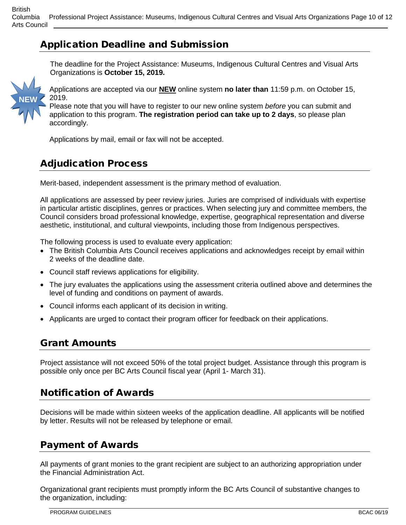## <span id="page-9-0"></span>Application Deadline and Submission

The deadline for the Project Assistance: Museums, Indigenous Cultural Centres and Visual Arts Organizations is **October 15, 2019.** MEMI



Applications are accepted via our **NEW** online system **no later than** 11:59 p.m. on October 15, 2019.

Please note that you will have to register to our new online system *before* you can submit and application to this program. **The registration period can take up to 2 days**, so please plan accordingly.

Applications by mail, email or fax will not be accepted.

## <span id="page-9-1"></span>Adjudication Process

Merit-based, independent assessment is the primary method of evaluation.

All applications are assessed by peer review juries. Juries are comprised of individuals with expertise in particular artistic disciplines, genres or practices. When selecting jury and committee members, the Council considers broad professional knowledge, expertise, geographical representation and diverse aesthetic, institutional, and cultural viewpoints, including those from Indigenous perspectives.

The following process is used to evaluate every application:

- The British Columbia Arts Council receives applications and acknowledges receipt by email within 2 weeks of the deadline date.
- Council staff reviews applications for eligibility.
- The jury evaluates the applications using the assessment criteria outlined above and determines the level of funding and conditions on payment of awards.
- Council informs each applicant of its decision in writing.
- Applicants are urged to contact their program officer for feedback on their applications.

### <span id="page-9-2"></span>Grant Amounts

Project assistance will not exceed 50% of the total project budget. Assistance through this program is possible only once per BC Arts Council fiscal year (April 1- March 31).

## <span id="page-9-3"></span>Notification of Awards

Decisions will be made within sixteen weeks of the application deadline. All applicants will be notified by letter. Results will not be released by telephone or email.

### <span id="page-9-4"></span>Payment of Awards

All payments of grant monies to the grant recipient are subject to an authorizing appropriation under the Financial Administration Act.

Organizational grant recipients must promptly inform the BC Arts Council of substantive changes to the organization, including: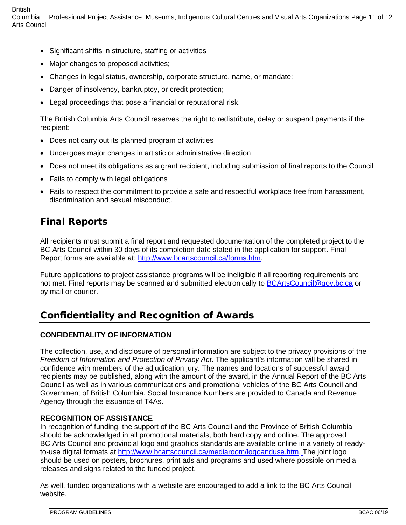- Significant shifts in structure, staffing or activities
- Major changes to proposed activities;
- Changes in legal status, ownership, corporate structure, name, or mandate;
- Danger of insolvency, bankruptcy, or credit protection;
- Legal proceedings that pose a financial or reputational risk.

The British Columbia Arts Council reserves the right to redistribute, delay or suspend payments if the recipient:

- Does not carry out its planned program of activities
- Undergoes major changes in artistic or administrative direction
- Does not meet its obligations as a grant recipient, including submission of final reports to the Council
- Fails to comply with legal obligations
- Fails to respect the commitment to provide a safe and respectful workplace free from harassment, discrimination and sexual misconduct.

## <span id="page-10-0"></span>Final Reports

All recipients must submit a final report and requested documentation of the completed project to the BC Arts Council within 30 days of its completion date stated in the application for support. Final Report forms are available at: [http://www.bcartscouncil.ca/forms.htm.](http://www.bcartscouncil.ca/forms.htm)

Future applications to project assistance programs will be ineligible if all reporting requirements are not met. Final reports may be scanned and submitted electronically to [BCArtsCouncil@gov.bc.ca](mailto:BCArtsCouncil@gov.bc.ca) or by mail or courier.

### <span id="page-10-1"></span>Confidentiality and Recognition of Awards

#### **CONFIDENTIALITY OF INFORMATION**

The collection, use, and disclosure of personal information are subject to the privacy provisions of the *Freedom of Information and Protection of Privacy Act*. The applicant's information will be shared in confidence with members of the adjudication jury. The names and locations of successful award recipients may be published, along with the amount of the award, in the Annual Report of the BC Arts Council as well as in various communications and promotional vehicles of the BC Arts Council and Government of British Columbia. Social Insurance Numbers are provided to Canada and Revenue Agency through the issuance of T4As.

#### **RECOGNITION OF ASSISTANCE**

In recognition of funding, the support of the BC Arts Council and the Province of British Columbia should be acknowledged in all promotional materials, both hard copy and online. The approved BC Arts Council and provincial logo and graphics standards are available online in a variety of readyto-use digital formats at [http://www.bcartscouncil.ca/mediaroom/logoanduse.htm.](http://www.bcartscouncil.ca/mediaroom/logoanduse.htm) The joint logo should be used on posters, brochures, print ads and programs and used where possible on media releases and signs related to the funded project.

As well, funded organizations with a website are encouraged to add a link to the BC Arts Council website.